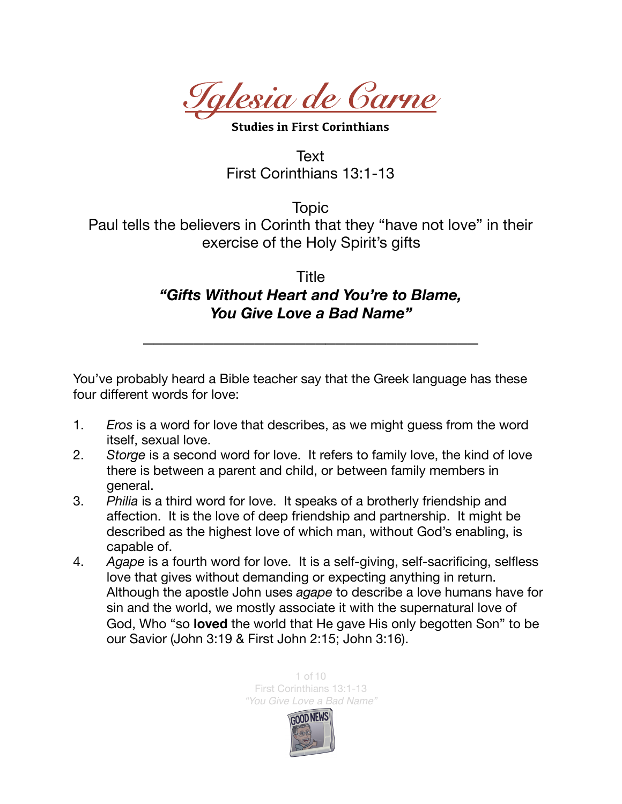*Iglesia de Carne* 

**Studies in First Corinthians** 

Text First Corinthians 13:1-13

Topic Paul tells the believers in Corinth that they "have not love" in their exercise of the Holy Spirit's gifts

## Title *"Gifts Without Heart and You're to Blame, You Give Love a Bad Name"*

*\_\_\_\_\_\_\_\_\_\_\_\_\_\_\_\_\_\_\_\_\_\_\_\_\_\_\_\_\_\_\_\_\_* 

You've probably heard a Bible teacher say that the Greek language has these four different words for love:

- 1. *Eros* is a word for love that describes, as we might guess from the word itself, sexual love.
- 2. *Storge* is a second word for love. It refers to family love, the kind of love there is between a parent and child, or between family members in general.
- 3. *Philia* is a third word for love. It speaks of a brotherly friendship and affection. It is the love of deep friendship and partnership. It might be described as the highest love of which man, without God's enabling, is capable of.
- 4. *Agape* is a fourth word for love. It is a self-giving, self-sacrificing, selfless love that gives without demanding or expecting anything in return. Although the apostle John uses *agape* to describe a love humans have for sin and the world, we mostly associate it with the supernatural love of God, Who "so **loved** the world that He gave His only begotten Son" to be our Savior (John 3:19 & First John 2:15; John 3:16).

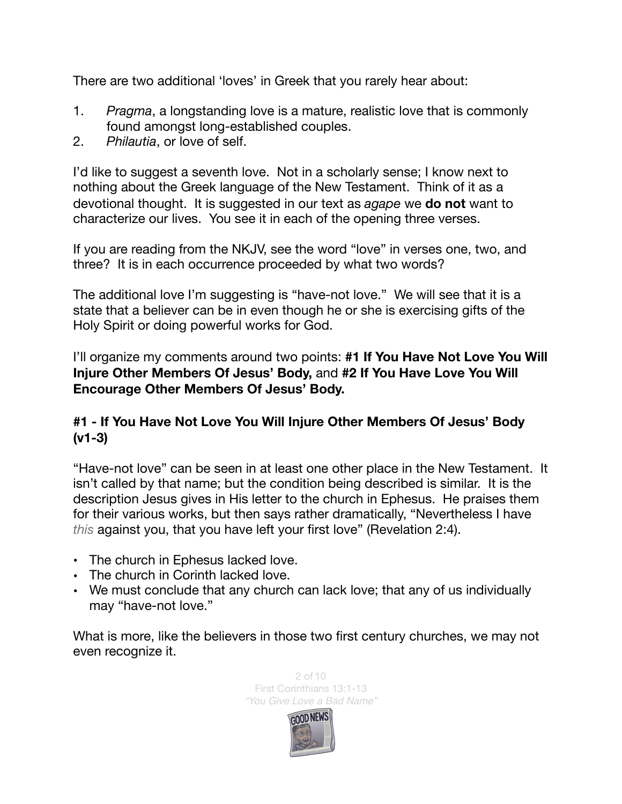There are two additional 'loves' in Greek that you rarely hear about:

- 1. *Pragma*, a longstanding love is a mature, realistic love that is commonly found amongst long-established couples.
- 2. *Philautia*, or love of self.

I'd like to suggest a seventh love. Not in a scholarly sense; I know next to nothing about the Greek language of the New Testament. Think of it as a devotional thought. It is suggested in our text as *agape* we **do not** want to characterize our lives. You see it in each of the opening three verses.

If you are reading from the NKJV, see the word "love" in verses one, two, and three? It is in each occurrence proceeded by what two words?

The additional love I'm suggesting is "have-not love." We will see that it is a state that a believer can be in even though he or she is exercising gifts of the Holy Spirit or doing powerful works for God.

I'll organize my comments around two points: **#1 If You Have Not Love You Will Injure Other Members Of Jesus' Body,** and **#2 If You Have Love You Will Encourage Other Members Of Jesus' Body.** 

## **#1 - If You Have Not Love You Will Injure Other Members Of Jesus' Body (v1-3)**

"Have-not love" can be seen in at least one other place in the New Testament. It isn't called by that name; but the condition being described is similar. It is the description Jesus gives in His letter to the church in Ephesus. He praises them for their various works, but then says rather dramatically, "Nevertheless I have *this* against you, that you have left your first love" (Revelation 2:4).

- The church in Ephesus lacked love.
- The church in Corinth lacked love.
- We must conclude that any church can lack love; that any of us individually may "have-not love."

What is more, like the believers in those two first century churches, we may not even recognize it.



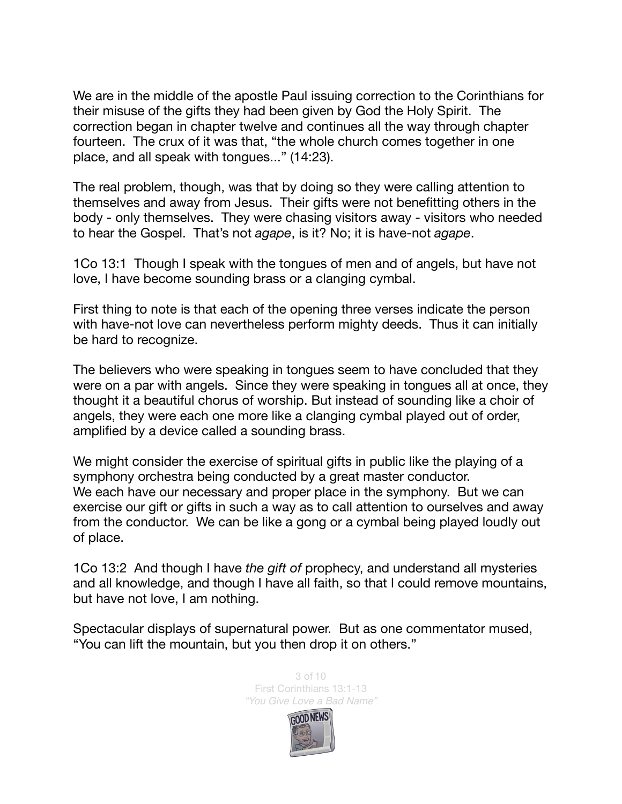We are in the middle of the apostle Paul issuing correction to the Corinthians for their misuse of the gifts they had been given by God the Holy Spirit. The correction began in chapter twelve and continues all the way through chapter fourteen. The crux of it was that, "the whole church comes together in one place, and all speak with tongues..." (14:23).

The real problem, though, was that by doing so they were calling attention to themselves and away from Jesus. Their gifts were not benefitting others in the body - only themselves. They were chasing visitors away - visitors who needed to hear the Gospel. That's not *agape*, is it? No; it is have-not *agape*.

1Co 13:1 Though I speak with the tongues of men and of angels, but have not love, I have become sounding brass or a clanging cymbal.

First thing to note is that each of the opening three verses indicate the person with have-not love can nevertheless perform mighty deeds. Thus it can initially be hard to recognize.

The believers who were speaking in tongues seem to have concluded that they were on a par with angels. Since they were speaking in tongues all at once, they thought it a beautiful chorus of worship. But instead of sounding like a choir of angels, they were each one more like a clanging cymbal played out of order, amplified by a device called a sounding brass.

We might consider the exercise of spiritual gifts in public like the playing of a symphony orchestra being conducted by a great master conductor. We each have our necessary and proper place in the symphony. But we can exercise our gift or gifts in such a way as to call attention to ourselves and away from the conductor. We can be like a gong or a cymbal being played loudly out of place.

1Co 13:2 And though I have *the gift of* prophecy, and understand all mysteries and all knowledge, and though I have all faith, so that I could remove mountains, but have not love, I am nothing.

Spectacular displays of supernatural power. But as one commentator mused, "You can lift the mountain, but you then drop it on others."



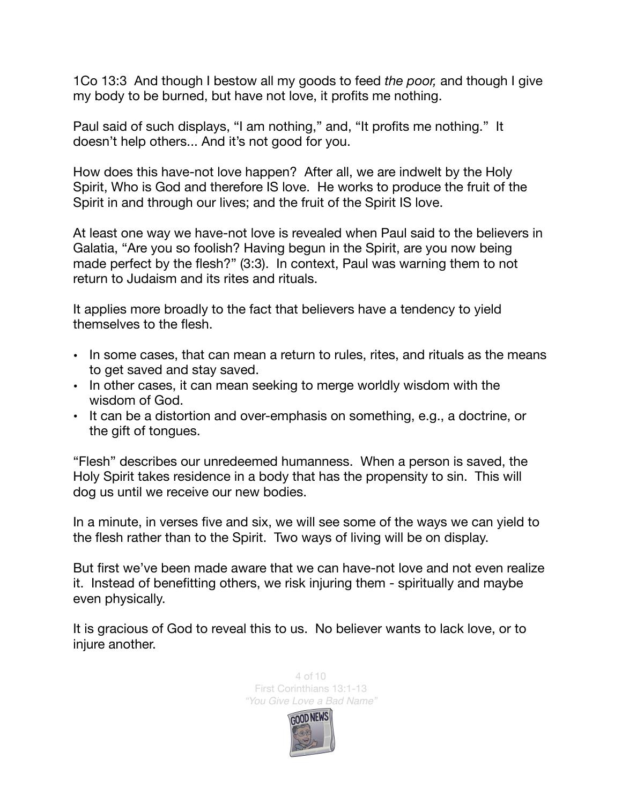1Co 13:3 And though I bestow all my goods to feed *the poor,* and though I give my body to be burned, but have not love, it profits me nothing.

Paul said of such displays, "I am nothing," and, "It profits me nothing." It doesn't help others... And it's not good for you.

How does this have-not love happen? After all, we are indwelt by the Holy Spirit, Who is God and therefore IS love. He works to produce the fruit of the Spirit in and through our lives; and the fruit of the Spirit IS love.

At least one way we have-not love is revealed when Paul said to the believers in Galatia, "Are you so foolish? Having begun in the Spirit, are you now being made perfect by the flesh?" (3:3). In context, Paul was warning them to not return to Judaism and its rites and rituals.

It applies more broadly to the fact that believers have a tendency to yield themselves to the flesh.

- In some cases, that can mean a return to rules, rites, and rituals as the means to get saved and stay saved.
- In other cases, it can mean seeking to merge worldly wisdom with the wisdom of God.
- It can be a distortion and over-emphasis on something, e.g., a doctrine, or the gift of tongues.

"Flesh" describes our unredeemed humanness. When a person is saved, the Holy Spirit takes residence in a body that has the propensity to sin. This will dog us until we receive our new bodies.

In a minute, in verses five and six, we will see some of the ways we can yield to the flesh rather than to the Spirit. Two ways of living will be on display.

But first we've been made aware that we can have-not love and not even realize it. Instead of benefitting others, we risk injuring them - spiritually and maybe even physically.

It is gracious of God to reveal this to us. No believer wants to lack love, or to injure another.



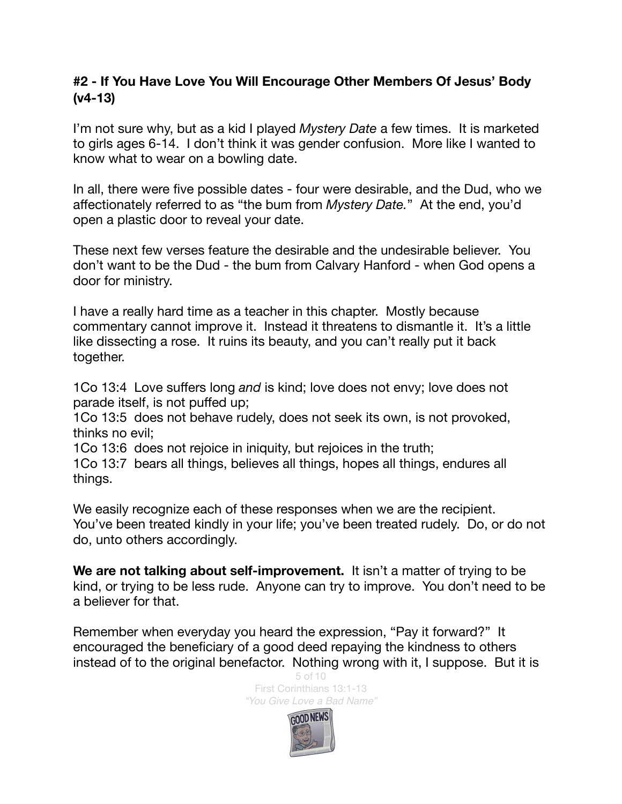## **#2 - If You Have Love You Will Encourage Other Members Of Jesus' Body (v4-13)**

I'm not sure why, but as a kid I played *Mystery Date* a few times. It is marketed to girls ages 6-14. I don't think it was gender confusion. More like I wanted to know what to wear on a bowling date.

In all, there were five possible dates - four were desirable, and the Dud, who we affectionately referred to as "the bum from *Mystery Date.*" At the end, you'd open a plastic door to reveal your date.

These next few verses feature the desirable and the undesirable believer. You don't want to be the Dud - the bum from Calvary Hanford - when God opens a door for ministry.

I have a really hard time as a teacher in this chapter. Mostly because commentary cannot improve it. Instead it threatens to dismantle it. It's a little like dissecting a rose. It ruins its beauty, and you can't really put it back together.

1Co 13:4 Love suffers long *and* is kind; love does not envy; love does not parade itself, is not puffed up;

1Co 13:5 does not behave rudely, does not seek its own, is not provoked, thinks no evil;

1Co 13:6 does not rejoice in iniquity, but rejoices in the truth;

1Co 13:7 bears all things, believes all things, hopes all things, endures all things.

We easily recognize each of these responses when we are the recipient. You've been treated kindly in your life; you've been treated rudely. Do, or do not do, unto others accordingly.

**We are not talking about self-improvement.** It isn't a matter of trying to be kind, or trying to be less rude. Anyone can try to improve. You don't need to be a believer for that.

Remember when everyday you heard the expression, "Pay it forward?" It encouraged the beneficiary of a good deed repaying the kindness to others instead of to the original benefactor. Nothing wrong with it, I suppose. But it is



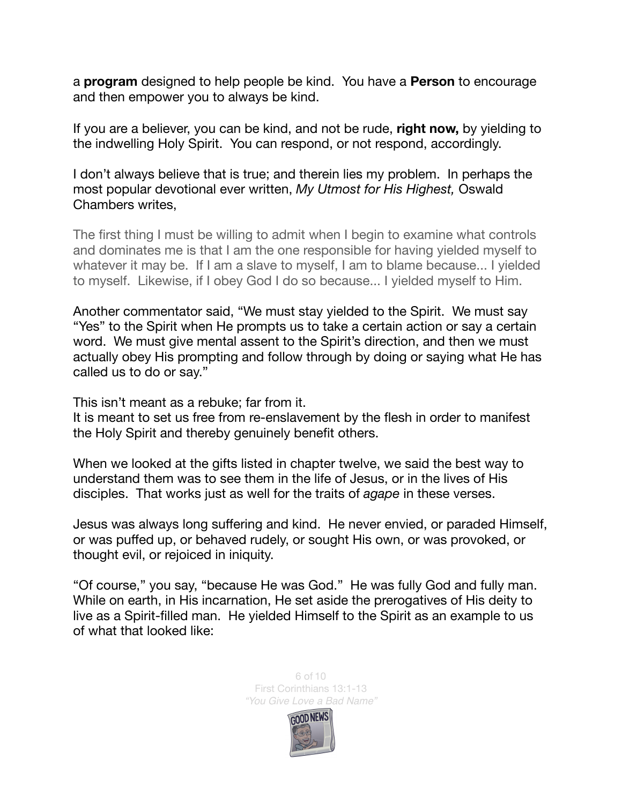a **program** designed to help people be kind. You have a **Person** to encourage and then empower you to always be kind.

If you are a believer, you can be kind, and not be rude, **right now,** by yielding to the indwelling Holy Spirit. You can respond, or not respond, accordingly.

I don't always believe that is true; and therein lies my problem. In perhaps the most popular devotional ever written, *My Utmost for His Highest,* Oswald Chambers writes,

The first thing I must be willing to admit when I begin to examine what controls and dominates me is that I am the one responsible for having yielded myself to whatever it may be. If I am a slave to myself, I am to blame because... I yielded to myself. Likewise, if I obey God I do so because... I yielded myself to Him.

Another commentator said, "We must stay yielded to the Spirit. We must say "Yes" to the Spirit when He prompts us to take a certain action or say a certain word. We must give mental assent to the Spirit's direction, and then we must actually obey His prompting and follow through by doing or saying what He has called us to do or say."

This isn't meant as a rebuke; far from it.

It is meant to set us free from re-enslavement by the flesh in order to manifest the Holy Spirit and thereby genuinely benefit others.

When we looked at the gifts listed in chapter twelve, we said the best way to understand them was to see them in the life of Jesus, or in the lives of His disciples. That works just as well for the traits of *agape* in these verses.

Jesus was always long suffering and kind. He never envied, or paraded Himself, or was puffed up, or behaved rudely, or sought His own, or was provoked, or thought evil, or rejoiced in iniquity.

"Of course," you say, "because He was God." He was fully God and fully man. While on earth, in His incarnation, He set aside the prerogatives of His deity to live as a Spirit-filled man. He yielded Himself to the Spirit as an example to us of what that looked like:



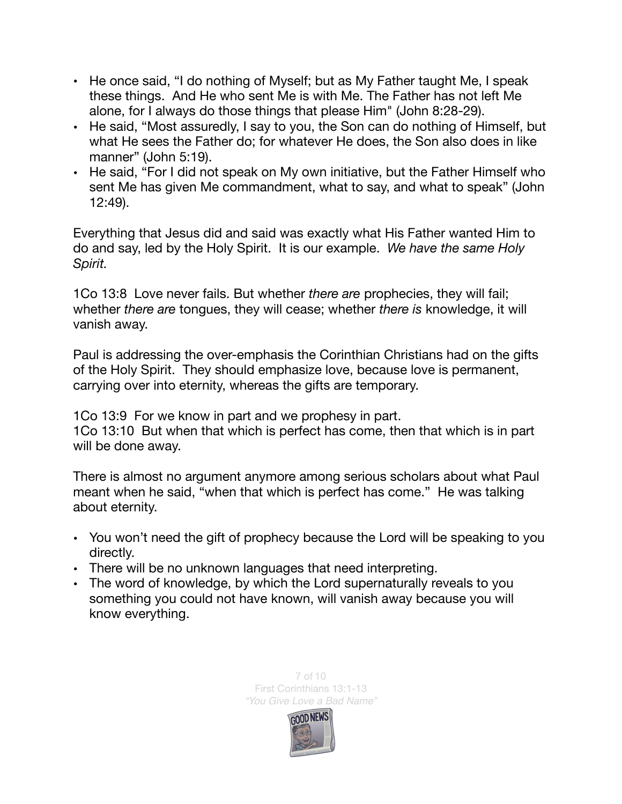- He once said, "I do nothing of Myself; but as My Father taught Me, I speak these things. And He who sent Me is with Me. The Father has not left Me alone, for I always do those things that please Him" (John 8:28-29).
- He said, "Most assuredly, I say to you, the Son can do nothing of Himself, but what He sees the Father do; for whatever He does, the Son also does in like manner" (John 5:19).
- He said, "For I did not speak on My own initiative, but the Father Himself who sent Me has given Me commandment, what to say, and what to speak" ([John](https://biblia.com/bible/esv/John%2012.49)  [12:49\)](https://biblia.com/bible/esv/John%2012.49).

Everything that Jesus did and said was exactly what His Father wanted Him to do and say, led by the Holy Spirit. It is our example. *We have the same Holy Spirit.* 

1Co 13:8 Love never fails. But whether *there are* prophecies, they will fail; whether *there are* tongues, they will cease; whether *there is* knowledge, it will vanish away.

Paul is addressing the over-emphasis the Corinthian Christians had on the gifts of the Holy Spirit. They should emphasize love, because love is permanent, carrying over into eternity, whereas the gifts are temporary.

1Co 13:9 For we know in part and we prophesy in part. 1Co 13:10 But when that which is perfect has come, then that which is in part will be done away.

There is almost no argument anymore among serious scholars about what Paul meant when he said, "when that which is perfect has come." He was talking about eternity.

- You won't need the gift of prophecy because the Lord will be speaking to you directly.
- There will be no unknown languages that need interpreting.
- The word of knowledge, by which the Lord supernaturally reveals to you something you could not have known, will vanish away because you will know everything.



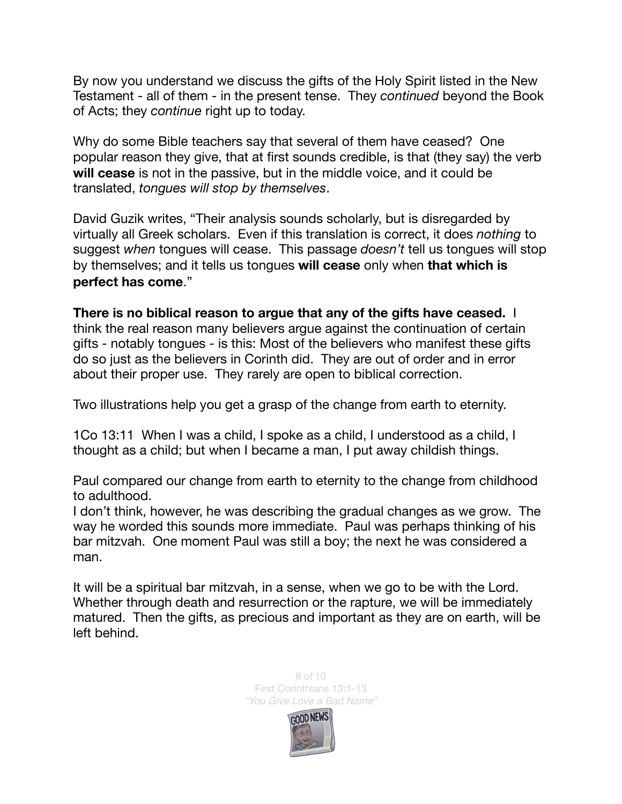By now you understand we discuss the gifts of the Holy Spirit listed in the New Testament - all of them - in the present tense. They *continued* beyond the Book of Acts; they *continue* right up to today.

Why do some Bible teachers say that several of them have ceased? One popular reason they give, that at first sounds credible, is that (they say) the verb **will cease** is not in the passive, but in the middle voice, and it could be translated, *tongues will stop by themselves*.

David Guzik writes, "Their analysis sounds scholarly, but is disregarded by virtually all Greek scholars. Even if this translation is correct, it does *nothing* to suggest *when* tongues will cease. This passage *doesn't* tell us tongues will stop by themselves; and it tells us tongues **will cease** only when **that which is perfect has come**."

**There is no biblical reason to argue that any of the gifts have ceased.** I think the real reason many believers argue against the continuation of certain gifts - notably tongues - is this: Most of the believers who manifest these gifts do so just as the believers in Corinth did. They are out of order and in error about their proper use. They rarely are open to biblical correction.

Two illustrations help you get a grasp of the change from earth to eternity.

1Co 13:11 When I was a child, I spoke as a child, I understood as a child, I thought as a child; but when I became a man, I put away childish things.

Paul compared our change from earth to eternity to the change from childhood to adulthood.

I don't think, however, he was describing the gradual changes as we grow. The way he worded this sounds more immediate. Paul was perhaps thinking of his bar mitzvah. One moment Paul was still a boy; the next he was considered a man.

It will be a spiritual bar mitzvah, in a sense, when we go to be with the Lord. Whether through death and resurrection or the rapture, we will be immediately matured. Then the gifts, as precious and important as they are on earth, will be left behind.



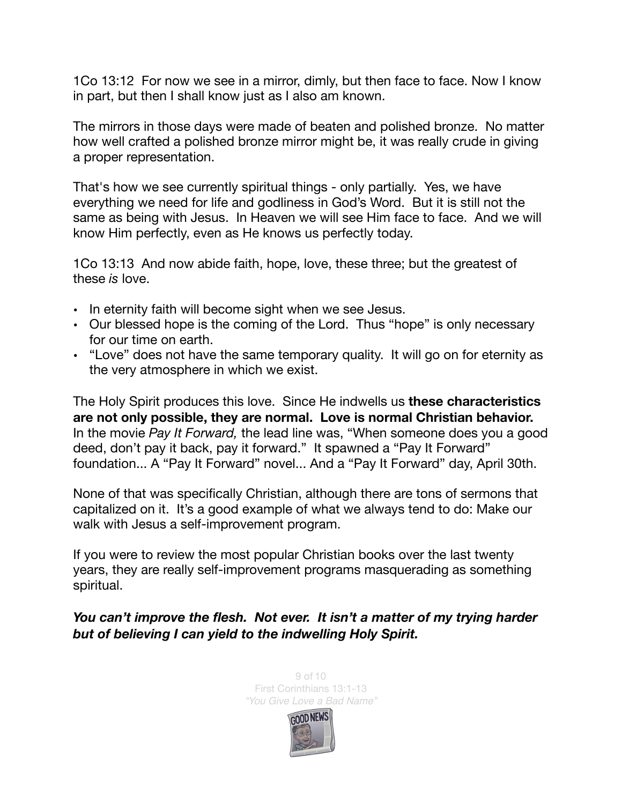1Co 13:12 For now we see in a mirror, dimly, but then face to face. Now I know in part, but then I shall know just as I also am known.

The mirrors in those days were made of beaten and polished bronze. No matter how well crafted a polished bronze mirror might be, it was really crude in giving a proper representation.

That's how we see currently spiritual things - only partially. Yes, we have everything we need for life and godliness in God's Word. But it is still not the same as being with Jesus. In Heaven we will see Him face to face. And we will know Him perfectly, even as He knows us perfectly today.

1Co 13:13 And now abide faith, hope, love, these three; but the greatest of these *is* love.

- In eternity faith will become sight when we see Jesus.
- Our blessed hope is the coming of the Lord. Thus "hope" is only necessary for our time on earth.
- "Love" does not have the same temporary quality. It will go on for eternity as the very atmosphere in which we exist.

The Holy Spirit produces this love. Since He indwells us **these characteristics are not only possible, they are normal. Love is normal Christian behavior.** In the movie *Pay It Forward,* the lead line was, "When someone does you a good deed, don't pay it back, pay it forward." It spawned a "Pay It Forward" foundation... A "Pay It Forward" novel... And a "Pay It Forward" day, April 30th.

None of that was specifically Christian, although there are tons of sermons that capitalized on it. It's a good example of what we always tend to do: Make our walk with Jesus a self-improvement program.

If you were to review the most popular Christian books over the last twenty years, they are really self-improvement programs masquerading as something spiritual.

## *You can't improve the flesh. Not ever. It isn't a matter of my trying harder but of believing I can yield to the indwelling Holy Spirit.*